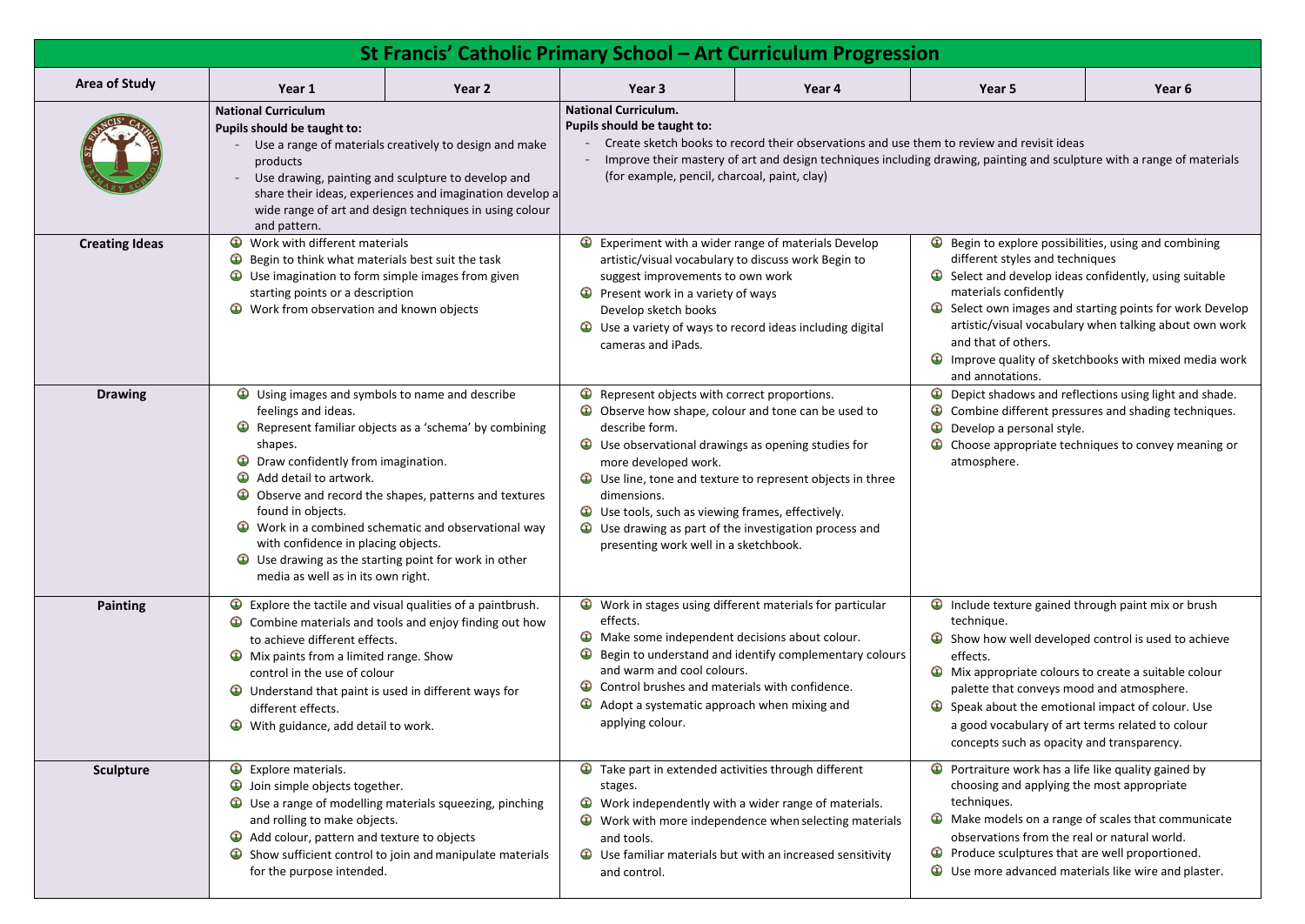| <b>St Francis' Catholic Primary School - Art Curriculum Progression</b>                                                                                                                                                                                                                                                                    |                                                                                                                                                                                                                                                                                                                                                                                                                                                                                                                                                                                                                                                                                                                                                                                                                                                                                                                                                                                                                                                                                                                                                                                                                                                         |                                                                                                                                                                                                                                                                                                                         |                                                                                                                                                                                                                                                                                                                                                                                                                                                                                                                                                                                                                                                                                                                                                                                                                                                                                                                                                                                                                                                                                                                                                                                    |                                                                                                                                                                                                                                                                                                                      |                                                                                                                                                                                                                                                                                                                                                                                                                                                                                                                                                                                                                                                                                                                                                                                                                                                                                                                                                                                                                                              |                   |  |  |  |
|--------------------------------------------------------------------------------------------------------------------------------------------------------------------------------------------------------------------------------------------------------------------------------------------------------------------------------------------|---------------------------------------------------------------------------------------------------------------------------------------------------------------------------------------------------------------------------------------------------------------------------------------------------------------------------------------------------------------------------------------------------------------------------------------------------------------------------------------------------------------------------------------------------------------------------------------------------------------------------------------------------------------------------------------------------------------------------------------------------------------------------------------------------------------------------------------------------------------------------------------------------------------------------------------------------------------------------------------------------------------------------------------------------------------------------------------------------------------------------------------------------------------------------------------------------------------------------------------------------------|-------------------------------------------------------------------------------------------------------------------------------------------------------------------------------------------------------------------------------------------------------------------------------------------------------------------------|------------------------------------------------------------------------------------------------------------------------------------------------------------------------------------------------------------------------------------------------------------------------------------------------------------------------------------------------------------------------------------------------------------------------------------------------------------------------------------------------------------------------------------------------------------------------------------------------------------------------------------------------------------------------------------------------------------------------------------------------------------------------------------------------------------------------------------------------------------------------------------------------------------------------------------------------------------------------------------------------------------------------------------------------------------------------------------------------------------------------------------------------------------------------------------|----------------------------------------------------------------------------------------------------------------------------------------------------------------------------------------------------------------------------------------------------------------------------------------------------------------------|----------------------------------------------------------------------------------------------------------------------------------------------------------------------------------------------------------------------------------------------------------------------------------------------------------------------------------------------------------------------------------------------------------------------------------------------------------------------------------------------------------------------------------------------------------------------------------------------------------------------------------------------------------------------------------------------------------------------------------------------------------------------------------------------------------------------------------------------------------------------------------------------------------------------------------------------------------------------------------------------------------------------------------------------|-------------------|--|--|--|
| <b>Area of Study</b>                                                                                                                                                                                                                                                                                                                       | Year 1                                                                                                                                                                                                                                                                                                                                                                                                                                                                                                                                                                                                                                                                                                                                                                                                                                                                                                                                                                                                                                                                                                                                                                                                                                                  | Year 2                                                                                                                                                                                                                                                                                                                  | Year <sub>3</sub>                                                                                                                                                                                                                                                                                                                                                                                                                                                                                                                                                                                                                                                                                                                                                                                                                                                                                                                                                                                                                                                                                                                                                                  | Year 4                                                                                                                                                                                                                                                                                                               | Year 5                                                                                                                                                                                                                                                                                                                                                                                                                                                                                                                                                                                                                                                                                                                                                                                                                                                                                                                                                                                                                                       | Year <sub>6</sub> |  |  |  |
| <b>National Curriculum</b><br>Pupils should be taught to:<br>Use a range of materials creatively to design and make<br>products<br>Use drawing, painting and sculpture to develop and<br>share their ideas, experiences and imagination develop a<br>wide range of art and design techniques in using colour<br>and pattern.               |                                                                                                                                                                                                                                                                                                                                                                                                                                                                                                                                                                                                                                                                                                                                                                                                                                                                                                                                                                                                                                                                                                                                                                                                                                                         | <b>National Curriculum.</b><br>Pupils should be taught to:<br>Create sketch books to record their observations and use them to review and revisit ideas<br>Improve their mastery of art and design techniques including drawing, painting and sculpture with a range of<br>(for example, pencil, charcoal, paint, clay) |                                                                                                                                                                                                                                                                                                                                                                                                                                                                                                                                                                                                                                                                                                                                                                                                                                                                                                                                                                                                                                                                                                                                                                                    |                                                                                                                                                                                                                                                                                                                      |                                                                                                                                                                                                                                                                                                                                                                                                                                                                                                                                                                                                                                                                                                                                                                                                                                                                                                                                                                                                                                              |                   |  |  |  |
| <b>Creating Ideas</b>                                                                                                                                                                                                                                                                                                                      | Work with different materials<br>$\mathbf \Omega$<br>Begin to think what materials best suit the task<br>Use imagination to form simple images from given<br>starting points or a description<br>Work from observation and known objects<br>$\bigcirc$<br><b>Drawing</b><br>$\mathbf \Theta$<br>Using images and symbols to name and describe<br>feelings and ideas.<br>Represent familiar objects as a 'schema' by combining<br>$\bigcirc$<br>shapes.<br>Draw confidently from imagination.<br>$\mathbf{D}$<br>$\mathbf \Omega$<br>Add detail to artwork.<br>Observe and record the shapes, patterns and textures<br>found in objects.<br>Work in a combined schematic and observational way<br>with confidence in placing objects.<br>$\mathbf \Theta$<br>Use drawing as the starting point for work in other<br>media as well as in its own right.<br>$\bigcirc$<br>Explore the tactile and visual qualities of a paintbrush.<br><b>Painting</b><br>Combine materials and tools and enjoy finding out how<br>to achieve different effects.<br>Mix paints from a limited range. Show<br>$\bigcirc$<br>control in the use of colour<br>Understand that paint is used in different ways for<br>different effects.<br>With guidance, add detail to work. |                                                                                                                                                                                                                                                                                                                         | Experiment with a wider range of materials Develop<br>artistic/visual vocabulary to discuss work Begin to<br>suggest improvements to own work<br>Present work in a variety of ways<br>$\bigcirc$<br>Develop sketch books<br>Use a variety of ways to record ideas including digital<br>$\bigcirc$<br>cameras and iPads.<br>Represent objects with correct proportions.<br>$\bigcirc$<br>Observe how shape, colour and tone can be used to<br>describe form.<br>Use observational drawings as opening studies for<br>$\mathbf \Omega$<br>more developed work.<br>Use line, tone and texture to represent objects in three<br>dimensions.<br>Use tools, such as viewing frames, effectively.<br>$\mathbf{\Omega}$<br>Use drawing as part of the investigation process and<br>presenting work well in a sketchbook.<br>Work in stages using different materials for particular<br>effects.<br>Make some independent decisions about colour.<br>$\bigcirc$<br>Begin to understand and identify complementary colours<br>and warm and cool colours.<br>Control brushes and materials with confidence.<br>Adopt a systematic approach when mixing and<br>$\mathbf U$<br>applying colour. |                                                                                                                                                                                                                                                                                                                      | $\bullet$ Begin to explore possibilities, using and comb<br>different styles and techniques<br>$\bullet$ Select and develop ideas confidently, using so<br>materials confidently<br>Select own images and starting points for wo<br>$\mathbf \Theta$<br>artistic/visual vocabulary when talking about<br>and that of others.<br>$\bigcirc$ Improve quality of sketchbooks with mixed m<br>and annotations.<br><b>Depict shadows and reflections using light an</b><br>$\bigcirc$<br>Combine different pressures and shading tec<br>$^\circledR$<br>Develop a personal style.<br>Choose appropriate techniques to convey me<br>atmosphere.<br>Include texture gained through paint mix or b<br>technique.<br>$\bullet$ Show how well developed control is used to<br>effects.<br>$\mathbf \Theta$<br>Mix appropriate colours to create a suitable<br>palette that conveys mood and atmosphere.<br>Speak about the emotional impact of colour.<br>a good vocabulary of art terms related to col-<br>concepts such as opacity and transparency. |                   |  |  |  |
|                                                                                                                                                                                                                                                                                                                                            |                                                                                                                                                                                                                                                                                                                                                                                                                                                                                                                                                                                                                                                                                                                                                                                                                                                                                                                                                                                                                                                                                                                                                                                                                                                         |                                                                                                                                                                                                                                                                                                                         |                                                                                                                                                                                                                                                                                                                                                                                                                                                                                                                                                                                                                                                                                                                                                                                                                                                                                                                                                                                                                                                                                                                                                                                    |                                                                                                                                                                                                                                                                                                                      |                                                                                                                                                                                                                                                                                                                                                                                                                                                                                                                                                                                                                                                                                                                                                                                                                                                                                                                                                                                                                                              |                   |  |  |  |
|                                                                                                                                                                                                                                                                                                                                            |                                                                                                                                                                                                                                                                                                                                                                                                                                                                                                                                                                                                                                                                                                                                                                                                                                                                                                                                                                                                                                                                                                                                                                                                                                                         |                                                                                                                                                                                                                                                                                                                         |                                                                                                                                                                                                                                                                                                                                                                                                                                                                                                                                                                                                                                                                                                                                                                                                                                                                                                                                                                                                                                                                                                                                                                                    |                                                                                                                                                                                                                                                                                                                      |                                                                                                                                                                                                                                                                                                                                                                                                                                                                                                                                                                                                                                                                                                                                                                                                                                                                                                                                                                                                                                              |                   |  |  |  |
| $\bigcirc$<br>Explore materials.<br><b>Sculpture</b><br>$\mathbf \Theta$<br>Join simple objects together.<br>Use a range of modelling materials squeezing, pinching<br>and rolling to make objects.<br>Add colour, pattern and texture to objects<br>Show sufficient control to join and manipulate materials<br>for the purpose intended. |                                                                                                                                                                                                                                                                                                                                                                                                                                                                                                                                                                                                                                                                                                                                                                                                                                                                                                                                                                                                                                                                                                                                                                                                                                                         | stages.<br>$\mathbf U$<br>$\mathbb{O}$<br>and tools.<br>$\mathbf{u}$<br>and control.                                                                                                                                                                                                                                    | Take part in extended activities through different<br>Work independently with a wider range of materials.<br>Work with more independence when selecting materials<br>Use familiar materials but with an increased sensitivity                                                                                                                                                                                                                                                                                                                                                                                                                                                                                                                                                                                                                                                                                                                                                                                                                                                                                                                                                      | <b>O</b> Portraiture work has a life like quality gained<br>choosing and applying the most appropriate<br>techniques.<br>• Make models on a range of scales that comm<br>observations from the real or natural world.<br>Produce sculptures that are well proportione<br>Use more advanced materials like wire and p |                                                                                                                                                                                                                                                                                                                                                                                                                                                                                                                                                                                                                                                                                                                                                                                                                                                                                                                                                                                                                                              |                   |  |  |  |

ng and sculpture with a range of materials

blore possibilities, using and combining les and techniques

evelop ideas confidently, using suitable nfidently

mages and starting points for work Develop al vocabulary when talking about own work others.

ality of sketchbooks with mixed media work ions.

ows and reflections using light and shade. ferent pressures and shading techniques.

ropriate techniques to convey meaning or

ure gained through paint mix or brush

vell developed control is used to achieve

iate colours to create a suitable colour conveys mood and atmosphere.

t the emotional impact of colour. Use

bulary of art terms related to colour

work has a life like quality gained by d applying the most appropriate

Is on a range of scales that communicate s from the real or natural world.

Iptures that are well proportioned.

dvanced materials like wire and plaster.